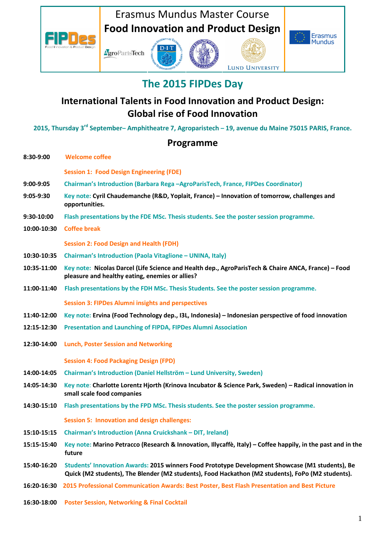

LUND UNIVERSITY

## **The 2015 FIPDes Day**

## **International Talents in Food Innovation and Product Design: Global rise of Food Innovation**

**2015, Thursday 3rd September– Amphitheatre 7, Agroparistech – 19, avenue du Maine 75015 PARIS, France.** 

#### **Programme**

| 8:30-9:00   | <b>Welcome coffee</b>                                                                                                                                                                                |  |
|-------------|------------------------------------------------------------------------------------------------------------------------------------------------------------------------------------------------------|--|
|             | <b>Session 1: Food Design Engineering (FDE)</b>                                                                                                                                                      |  |
| $9:00-9:05$ | Chairman's Introduction (Barbara Rega -AgroParisTech, France, FIPDes Coordinator)                                                                                                                    |  |
| $9:05-9:30$ | Key note: Cyril Chaudemanche (R&D, Yoplait, France) - Innovation of tomorrow, challenges and<br>opportunities.                                                                                       |  |
| 9:30-10:00  | Flash presentations by the FDE MSc. Thesis students. See the poster session programme.                                                                                                               |  |
| 10:00-10:30 | <b>Coffee break</b>                                                                                                                                                                                  |  |
|             | <b>Session 2: Food Design and Health (FDH)</b>                                                                                                                                                       |  |
| 10:30-10:35 | <b>Chairman's Introduction (Paola Vitaglione - UNINA, Italy)</b>                                                                                                                                     |  |
| 10:35-11:00 | Key note: Nicolas Darcel (Life Science and Health dep., AgroParisTech & Chaire ANCA, France) - Food<br>pleasure and healthy eating, enemies or allies?                                               |  |
| 11:00-11:40 | Flash presentations by the FDH MSc. Thesis Students. See the poster session programme.                                                                                                               |  |
|             | <b>Session 3: FIPDes Alumni insights and perspectives</b>                                                                                                                                            |  |
| 11:40-12:00 | Key note: Ervina (Food Technology dep., I3L, Indonesia) - Indonesian perspective of food innovation                                                                                                  |  |
| 12:15-12:30 | Presentation and Launching of FIPDA, FIPDes Alumni Association                                                                                                                                       |  |
| 12:30-14:00 | <b>Lunch, Poster Session and Networking</b>                                                                                                                                                          |  |
|             | <b>Session 4: Food Packaging Design (FPD)</b>                                                                                                                                                        |  |
| 14:00-14:05 | Chairman's Introduction (Daniel Hellström - Lund University, Sweden)                                                                                                                                 |  |
| 14:05-14:30 | Key note: Charlotte Lorentz Hjorth (Krinova Incubator & Science Park, Sweden) - Radical innovation in<br>small scale food companies                                                                  |  |
| 14:30-15:10 | Flash presentations by the FPD MSc. Thesis students. See the poster session programme.                                                                                                               |  |
|             | <b>Session 5: Innovation and design challenges:</b>                                                                                                                                                  |  |
| 15:10-15:15 | <b>Chairman's Introduction (Anna Cruickshank - DIT, Ireland)</b>                                                                                                                                     |  |
| 15:15-15:40 | Key note: Marino Petracco (Research & Innovation, Illycaffè, Italy) - Coffee happily, in the past and in the<br>future                                                                               |  |
| 15:40-16:20 | Students' Innovation Awards: 2015 winners Food Prototype Development Showcase (M1 students), Be<br>Quick (M2 students), The Blender (M2 students), Food Hackathon (M2 students), FoPo (M2 students). |  |
| 16:20-16:30 | 2015 Professional Communication Awards: Best Poster, Best Flash Presentation and Best Picture                                                                                                        |  |
| 16:30-18:00 | <b>Poster Session, Networking &amp; Final Cocktail</b>                                                                                                                                               |  |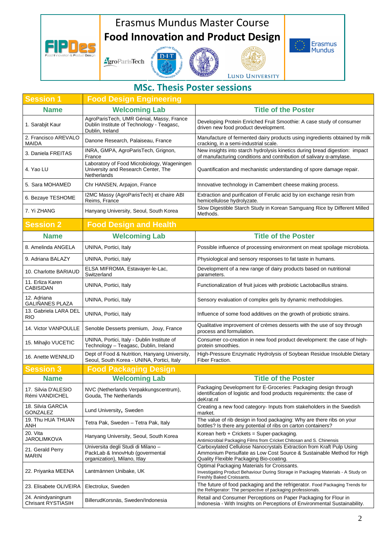# Erasmus Mundus Master Course **Food Innovation and Product Design**



# $D-I-T$ AgroParisTech







### **MSc. Thesis Poster sessions**

| <b>Session 1</b>                                | <b>Food Design Engineering</b>                                                                           |                                                                                                                                                                                         |
|-------------------------------------------------|----------------------------------------------------------------------------------------------------------|-----------------------------------------------------------------------------------------------------------------------------------------------------------------------------------------|
| <b>Name</b>                                     | <b>Welcoming Lab</b>                                                                                     | <b>Title of the Poster</b>                                                                                                                                                              |
| 1. Sarabjit Kaur                                | AgroParisTech, UMR Génial, Massy, France<br>Dublin Institute of Technology - Teagasc,<br>Dublin, Ireland | Developing Protein Enriched Fruit Smoothie: A case study of consumer<br>driven new food product development.                                                                            |
| 2. Francisco AREVALO<br><b>MAIDA</b>            | Danone Research, Palaiseau, France                                                                       | Manufacture of fermented dairy products using ingredients obtained by milk<br>cracking, in a semi-industrial scale.                                                                     |
| 3. Daniela FREITAS                              | INRA, GMPA, AgroParisTech, Grignon,<br>France                                                            | New insights into starch hydrolysis kinetics during bread digestion: impact<br>of manufacturing conditions and contribution of salivary $\alpha$ -amylase.                              |
| 4. Yao LU                                       | Laboratory of Food Microbiology, Wageningen<br>University and Research Center, The<br>Netherlands        | Quantification and mechanistic understanding of spore damage repair.                                                                                                                    |
| 5. Sara MOHAMED                                 | Chr HANSEN, Arpajon, France                                                                              | Innovative technology in Camembert cheese making process.                                                                                                                               |
| 6. Bezaye TESHOME                               | I2MC Massy (AgroParisTech) et chaire ABI<br>Reims, France                                                | Extraction and purification of Ferulic acid by ion exchange resin from<br>hemicellulose hydrolyzate.                                                                                    |
| 7. Yi ZHANG                                     | Hanyang University, Seoul, South Korea                                                                   | Slow Digestible Starch Study in Korean Samguang Rice by Different Milled<br>Methods.                                                                                                    |
| <b>Session 2</b>                                | <b>Food Design and Health</b>                                                                            |                                                                                                                                                                                         |
| <b>Name</b>                                     | <b>Welcoming Lab</b>                                                                                     | <b>Title of the Poster</b>                                                                                                                                                              |
| 8. Amelinda ANGELA                              | UNINA, Portici, Italy                                                                                    | Possible influence of processing environment on meat spoilage microbiota.                                                                                                               |
| 9. Adriana BALAZY                               | UNINA, Portici, Italy                                                                                    | Physiological and sensory responses to fat taste in humans.                                                                                                                             |
| 10. Charlotte BARIAUD                           | ELSA MIFROMA, Estavayer-le-Lac,<br>Switzerland                                                           | Development of a new range of dairy products based on nutritional<br>parameters.                                                                                                        |
| 11. Erliza Karen<br><b>CABISIDAN</b>            | UNINA, Portici, Italy                                                                                    | Functionalization of fruit juices with probiotic Lactobacillus strains.                                                                                                                 |
| 12. Adriana<br><b>GALIÑANES PLAZA</b>           | UNINA, Portici, Italy                                                                                    | Sensory evaluation of complex gels by dynamic methodologies.                                                                                                                            |
| 13. Gabriela LARA DEL<br><b>RIO</b>             | UNINA, Portici, Italy                                                                                    | Influence of some food additives on the growth of probiotic strains.                                                                                                                    |
| 14. Victor VANPOULLE                            | Senoble Desserts premium, Jouy, France                                                                   | Qualitative improvement of crèmes desserts with the use of soy through<br>process and formulation.                                                                                      |
| 15. Mihajlo VUCETIC                             | UNINA, Portici, Italy - Dublin Institute of<br>Technology - Teagasc, Dublin, Ireland                     | Consumer co-creation in new food product development: the case of high-<br>protein smoothies.                                                                                           |
| 16. Anette WENNLID                              | Dept of Food & Nutrition, Hanyang University,<br>Seoul, South Korea - UNINA, Portici, Italy              | High-Pressure Enzymatic Hydrolysis of Soybean Residue Insoluble Dietary<br>Fiber Fraction.                                                                                              |
| <b>Session 3</b>                                | <b>Food Packaging Design</b>                                                                             |                                                                                                                                                                                         |
| <b>Name</b>                                     | <b>Welcoming Lab</b>                                                                                     | <b>Title of the Poster</b>                                                                                                                                                              |
| 17. Silvia D'ALESIO<br>Rémi VANDICHEL           | NVC (Netherlands Verpakkungscentrum),<br>Gouda, The Netherlands                                          | Packaging Development for E-Groceries: Packaging design through<br>identification of logistic and food products requirements: the case of<br>deKrat.nl                                  |
| 18. Silvia GARCIA<br>GONZALEZ                   | Lund University, Sweden                                                                                  | Creating a new food category- Inputs from stakeholders in the Swedish<br>market.                                                                                                        |
| 19. Thu HUA THUAN<br>ANH                        | Tetra Pak, Sweden - Tetra Pak, Italy                                                                     | The value of rib design in food packaging: Why are there ribs on your<br>bottles? Is there any potential of ribs on carton containers?                                                  |
| 20. Vita<br><b>JAROLIMKOVA</b>                  | Hanyang University, Seoul, South Korea                                                                   | Korean herb + Crickets = Super-packaging.<br>Antimicrobial Packaging Films from Cricket Chitosan and S. Chinensis                                                                       |
| 21. Gerald Perry<br><b>MARIN</b>                | Universita degli Studi di Milano -<br>PackLab & InnovHub (govermental<br>organization), Milano, Itlay    | Carboxylated Cellulose Nanocrystals Extraction from Kraft Pulp Using<br>Ammonium Persulfate as Low Cost Source & Sustainable Method for High<br>Quality Flexible Packaging Bio-coating. |
| 22. Priyanka MEENA                              | Lantmännen Unibake, UK                                                                                   | Optimal Packaging Materials for Croissants.<br>Investigating Product Behaviour During Storage in Packaging Materials - A Study on<br>Freshly Baked Croissants.                          |
| 23. Elisabete OLIVEIRA                          | Electrolux, Sweden                                                                                       | The future of food packaging and the refrigerator. Food Packaging Trends for<br>the Refrigerator: The perspective of packaging professionals.                                           |
| 24. Anindyaningrum<br><b>Chrisant RYSTIASIH</b> | BillerudKorsnäs, Sweden/Indonesia                                                                        | Retail and Consumer Perceptions on Paper Packaging for Flour in<br>Indonesia - With Insights on Perceptions of Environmental Sustainability.                                            |